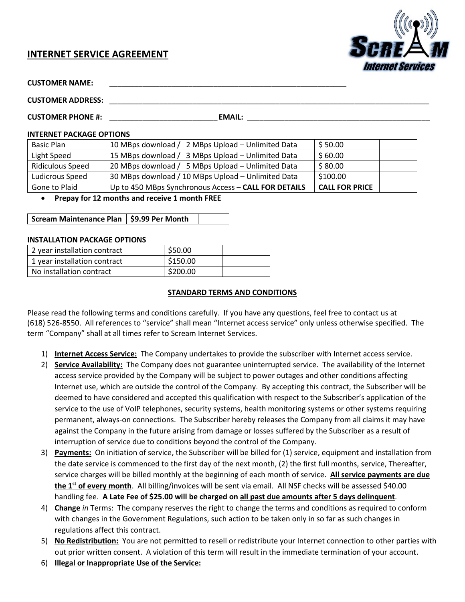# **INTERNET SERVICE AGREEMENT**



| <b>CUSTOMER NAME:</b> |  |
|-----------------------|--|
|-----------------------|--|

**CUSTOMER ADDRESS:** \_\_\_\_\_\_\_\_\_\_\_\_\_\_\_\_\_\_\_\_\_\_\_\_\_\_\_\_\_\_\_\_\_\_\_\_\_\_\_\_\_\_\_\_\_\_\_\_\_\_\_\_\_\_\_\_\_\_\_\_\_\_\_\_\_\_\_\_\_\_\_\_\_\_\_\_\_

**CUSTOMER PHONE #:**  $\blacksquare$  **EMAIL:**  $\blacksquare$ 

#### **INTERNET PACKAGE OPTIONS**

| Basic Plan              | 10 MBps download / 2 MBps Upload - Unlimited Data    | \$50.00               |  |
|-------------------------|------------------------------------------------------|-----------------------|--|
| Light Speed             | 15 MBps download / 3 MBps Upload - Unlimited Data    | \$60.00               |  |
| <b>Ridiculous Speed</b> | 20 MBps download / 5 MBps Upload - Unlimited Data    | \$80.00               |  |
| Ludicrous Speed         | 30 MBps download / 10 MBps Upload - Unlimited Data   | \$100.00              |  |
| Gone to Plaid           | Up to 450 MBps Synchronous Access - CALL FOR DETAILS | <b>CALL FOR PRICE</b> |  |

## • **Prepay for 12 months and receive 1 month FREE**

| Scream Maintenance Plan   \$9.99 Per Month |  |  |
|--------------------------------------------|--|--|
|--------------------------------------------|--|--|

#### **INSTALLATION PACKAGE OPTIONS**

| 2 year installation contract | \$50.00  |  |
|------------------------------|----------|--|
| 1 year installation contract | \$150.00 |  |
| No installation contract     | \$200.00 |  |

## **STANDARD TERMS AND CONDITIONS**

Please read the following terms and conditions carefully. If you have any questions, feel free to contact us at (618) 526-8550. All references to "service" shall mean "Internet access service" only unless otherwise specified. The term "Company" shall at all times refer to Scream Internet Services.

- 1) **Internet Access Service:** The Company undertakes to provide the subscriber with Internet access service.
- 2) **Service Availability:** The Company does not guarantee uninterrupted service. The availability of the Internet access service provided by the Company will be subject to power outages and other conditions affecting Internet use, which are outside the control of the Company. By accepting this contract, the Subscriber will be deemed to have considered and accepted this qualification with respect to the Subscriber's application of the service to the use of VoIP telephones, security systems, health monitoring systems or other systems requiring permanent, always-on connections. The Subscriber hereby releases the Company from all claims it may have against the Company in the future arising from damage or losses suffered by the Subscriber as a result of interruption of service due to conditions beyond the control of the Company.
- 3) **Payments:** On initiation of service, the Subscriber will be billed for (1) service, equipment and installation from the date service is commenced to the first day of the next month, (2) the first full months, service, Thereafter, service charges will be billed monthly at the beginning of each month of service. **All service payments are due the 1st of every month**. All billing/invoices will be sent via email. All NSF checks will be assessed \$40.00 handling fee. **A Late Fee of \$25.00 will be charged on all past due amounts after 5 days delinquent**.
- 4) **Change** *in* Terms: The company reserves the right to change the terms and conditions as required to conform with changes in the Government Regulations, such action to be taken only in so far as such changes in regulations affect this contract.
- 5) **No Redistribution:** You are not permitted to resell or redistribute your Internet connection to other parties with out prior written consent. A violation of this term will result in the immediate termination of your account.
- 6) **Illegal or Inappropriate Use of the Service:**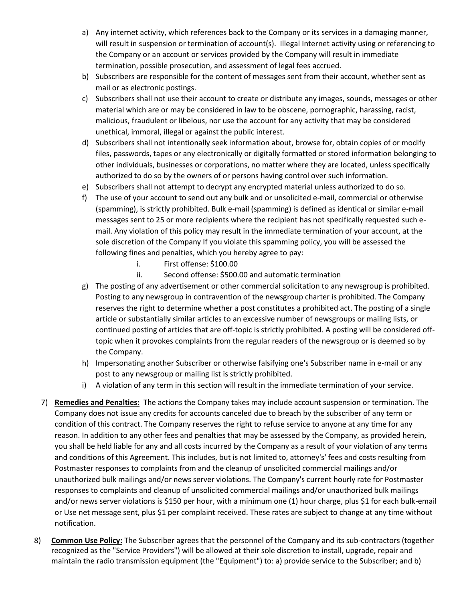- a) Any internet activity, which references back to the Company or its services in a damaging manner, will result in suspension or termination of account(s). Illegal Internet activity using or referencing to the Company or an account or services provided by the Company will result in immediate termination, possible prosecution, and assessment of legal fees accrued.
- b) Subscribers are responsible for the content of messages sent from their account, whether sent as mail or as electronic postings.
- c) Subscribers shall not use their account to create or distribute any images, sounds, messages or other material which are or may be considered in law to be obscene, pornographic, harassing, racist, malicious, fraudulent or libelous, nor use the account for any activity that may be considered unethical, immoral, illegal or against the public interest.
- d) Subscribers shall not intentionally seek information about, browse for, obtain copies of or modify files, passwords, tapes or any electronically or digitally formatted or stored information belonging to other individuals, businesses or corporations, no matter where they are located, unless specifically authorized to do so by the owners of or persons having control over such information.
- e) Subscribers shall not attempt to decrypt any encrypted material unless authorized to do so.
- f) The use of your account to send out any bulk and or unsolicited e-mail, commercial or otherwise (spamming), is strictly prohibited. Bulk e-mail (spamming) is defined as identical or similar e-mail messages sent to 25 or more recipients where the recipient has not specifically requested such email. Any violation of this policy may result in the immediate termination of your account, at the sole discretion of the Company If you violate this spamming policy, you will be assessed the following fines and penalties, which you hereby agree to pay:
	- i. First offense: \$100.00
	- ii. Second offense: \$500.00 and automatic termination
- g) The posting of any advertisement or other commercial solicitation to any newsgroup is prohibited. Posting to any newsgroup in contravention of the newsgroup charter is prohibited. The Company reserves the right to determine whether a post constitutes a prohibited act. The posting of a single article or substantially similar articles to an excessive number of newsgroups or mailing lists, or continued posting of articles that are off-topic is strictly prohibited. A posting will be considered offtopic when it provokes complaints from the regular readers of the newsgroup or is deemed so by the Company.
- h) Impersonating another Subscriber or otherwise falsifying one's Subscriber name in e-mail or any post to any newsgroup or mailing list is strictly prohibited.
- i) A violation of any term in this section will result in the immediate termination of your service.
- 7) **Remedies and Penalties:** The actions the Company takes may include account suspension or termination. The Company does not issue any credits for accounts canceled due to breach by the subscriber of any term or condition of this contract. The Company reserves the right to refuse service to anyone at any time for any reason. In addition to any other fees and penalties that may be assessed by the Company, as provided herein, you shall be held liable for any and all costs incurred by the Company as a result of your violation of any terms and conditions of this Agreement. This includes, but is not limited to, attorney's' fees and costs resulting from Postmaster responses to complaints from and the cleanup of unsolicited commercial mailings and/or unauthorized bulk mailings and/or news server violations. The Company's current hourly rate for Postmaster responses to complaints and cleanup of unsolicited commercial mailings and/or unauthorized bulk mailings and/or news server violations is \$150 per hour, with a minimum one (1) hour charge, plus \$1 for each bulk-email or Use net message sent, plus \$1 per complaint received. These rates are subject to change at any time without notification.
- 8) **Common Use Policy:** The Subscriber agrees that the personnel of the Company and its sub-contractors (together recognized as the "Service Providers") will be allowed at their sole discretion to install, upgrade, repair and maintain the radio transmission equipment (the "Equipment") to: a) provide service to the Subscriber; and b)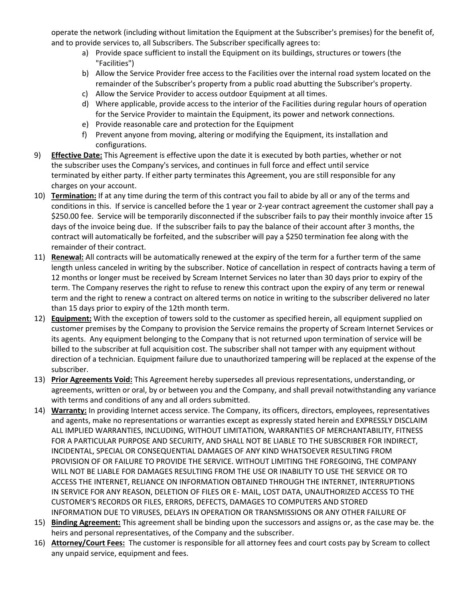operate the network (including without limitation the Equipment at the Subscriber's premises) for the benefit of, and to provide services to, all Subscribers. The Subscriber specifically agrees to:

- a) Provide space sufficient to install the Equipment on its buildings, structures or towers (the "Facilities")
- b) Allow the Service Provider free access to the Facilities over the internal road system located on the remainder of the Subscriber's property from a public road abutting the Subscriber's property.
- c) Allow the Service Provider to access outdoor Equipment at all times.
- d) Where applicable, provide access to the interior of the Facilities during regular hours of operation for the Service Provider to maintain the Equipment, its power and network connections.
- e) Provide reasonable care and protection for the Equipment
- f) Prevent anyone from moving, altering or modifying the Equipment, its installation and configurations.
- 9) **Effective Date:** This Agreement is effective upon the date it is executed by both parties, whether or not the subscriber uses the Company's services, and continues in full force and effect until service terminated by either party. If either party terminates this Agreement, you are still responsible for any charges on your account.
- 10) **Termination:** If at any time during the term of this contract you fail to abide by all or any of the terms and conditions in this. If service is cancelled before the 1 year or 2-year contract agreement the customer shall pay a \$250.00 fee. Service will be temporarily disconnected if the subscriber fails to pay their monthly invoice after 15 days of the invoice being due. If the subscriber fails to pay the balance of their account after 3 months, the contract will automatically be forfeited, and the subscriber will pay a \$250 termination fee along with the remainder of their contract.
- 11) **Renewal:** All contracts will be automatically renewed at the expiry of the term for a further term of the same length unless canceled in writing by the subscriber. Notice of cancellation in respect of contracts having a term of 12 months or longer must be received by Scream Internet Services no later than 30 days prior to expiry of the term. The Company reserves the right to refuse to renew this contract upon the expiry of any term or renewal term and the right to renew a contract on altered terms on notice in writing to the subscriber delivered no later than 15 days prior to expiry of the 12th month term.
- 12) **Equipment:** With the exception of towers sold to the customer as specified herein, all equipment supplied on customer premises by the Company to provision the Service remains the property of Scream Internet Services or its agents. Any equipment belonging to the Company that is not returned upon termination of service will be billed to the subscriber at full acquisition cost. The subscriber shall not tamper with any equipment without direction of a technician. Equipment failure due to unauthorized tampering will be replaced at the expense of the subscriber.
- 13) **Prior Agreements Void:** This Agreement hereby supersedes all previous representations, understanding, or agreements, written or oral, by or between you and the Company, and shall prevail notwithstanding any variance with terms and conditions of any and all orders submitted.
- 14) **Warranty:** In providing Internet access service. The Company, its officers, directors, employees, representatives and agents, make no representations or warranties except as expressly stated herein and EXPRESSLY DISCLAIM ALL IMPLIED WARRANTIES, INCLUDING, WITHOUT LIMITATION, WARRANTIES OF MERCHANTABILITY, FITNESS FOR A PARTICULAR PURPOSE AND SECURITY, AND SHALL NOT BE LIABLE TO THE SUBSCRIBER FOR INDIRECT, INCIDENTAL, SPECIAL OR CONSEQUENTIAL DAMAGES OF ANY KIND WHATSOEVER RESULTING FROM PROVISION OF OR FAILURE TO PROVIDE THE SERVICE. WITHOUT LIMITING THE FOREGOING, THE COMPANY WILL NOT BE LIABLE FOR DAMAGES RESULTING FROM THE USE OR INABILITY TO USE THE SERVICE OR TO ACCESS THE INTERNET, RELIANCE ON INFORMATION OBTAINED THROUGH THE INTERNET, INTERRUPTIONS IN SERVICE FOR ANY REASON, DELETION OF FILES OR E- MAIL, LOST DATA, UNAUTHORIZED ACCESS TO THE CUSTOMER'S RECORDS OR FILES, ERRORS, DEFECTS, DAMAGES TO COMPUTERS AND STORED INFORMATION DUE TO VIRUSES, DELAYS IN OPERATION OR TRANSMISSIONS OR ANY OTHER FAILURE OF
- 15) **Binding Agreement:** This agreement shall be binding upon the successors and assigns or, as the case may be. the heirs and personal representatives, of the Company and the subscriber.
- 16) **Attorney/Court Fees:** The customer is responsible for all attorney fees and court costs pay by Scream to collect any unpaid service, equipment and fees.